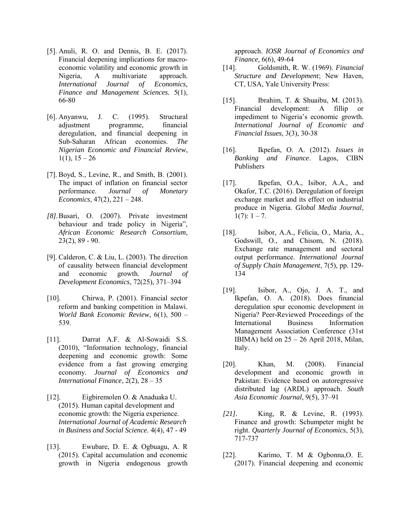- [5]. Anuli, R. O. and Dennis, B. E. (2017). Financial deepening implications for macroeconomic volatility and economic growth in Nigeria, A multivariate approach. *International Journal of Economics, Finance and Management Sciences.* 5(1), 66-80
- [6]. Anyanwu, J. C. (1995). Structural adjustment programme, financial deregulation, and financial deepening in Sub-Saharan African economies. *The Nigerian Economic and Financial Review*,  $1(1)$ ,  $15 - 26$
- [7]. Boyd, S., Levine, R., and Smith, B. (2001). The impact of inflation on financial sector performance. *Journal of Monetary Economics*, 47(2), 221 – 248.
- *[8].*Busari, O. (2007). Private investment behaviour and trade policy in Nigeria", *African Economic Research Consortium*, 23(2), 89 - 90.
- [9]. Calderon, C. & Liu, L. (2003). The direction of causality between financial development and economic growth. *Journal of Development Economics*, 72(25), 371–394
- [10]. Chirwa, P. (2001). Financial sector reform and banking competition in Malawi. *World Bank Economic Review*, 6(1), 500 – 539.
- [11]. Darrat A.F. & Al-Sowaidi S.S. (2010), "Information technology, financial deepening and economic growth: Some evidence from a fast growing emerging economy. *Journal of Economics and International Finance*, 2(2), 28 – 35
- [12]. Eigbiremolen O. & Anaduaka U. (2015). Human capital development and economic growth: the Nigeria experience. *International Journal of Academic Research in Business and Social Science.* 4(4), 47 - 49
- [13]. Ewubare, D. E. & Ogbuagu, A. R (2015). Capital accumulation and economic growth in Nigeria endogenous growth

approach. *IOSR Journal of Economics and Finance,* 6(6), 49-64

- [14]. Goldsmith, R. W. (1969). *Financial Structure and Development*; New Haven, CT, USA, Yale University Press:
- [15]. Ibrahim, T. & Shuaibu, M. (2013). Financial development: A fillip or impediment to Nigeria's economic growth. *International Journal of Economic and Financial Issues*, 3(3), 30-38
- [16]. Ikpefan, O. A. (2012). *Issues in Banking and Finance*. Lagos, CIBN Publishers
- [17]. Ikpefan, O.A., Isibor, A.A., and Okafor, T.C. (2016). Deregulation of foreign exchange market and its effect on industrial produce in Nigeria. *Global Media Journal*, 1(7):  $1 - 7$ .
- [18]. Isibor, A.A., Felicia, O., [Maria, A.,](https://www.scopus.com/authid/detail.uri?origin=AuthorProfile&authorId=57204659101&zone=) [Godswill, O.,](https://www.scopus.com/authid/detail.uri?origin=AuthorProfile&authorId=57202943678&zone=) and [Chisom, N.](https://www.scopus.com/authid/detail.uri?origin=AuthorProfile&authorId=57203514490&zone=) (2018). Exchange rate management and sectoral output performance. *[International Journal](https://www.scopus.com/sourceid/21100429502?origin=resultslist)  [of Supply Chain Management](https://www.scopus.com/sourceid/21100429502?origin=resultslist)*, 7(5), pp. 129- 134
- [19]. Isibor, A., Ojo, J. A. T., and Ikpefan, O. A. (2018). Does financial deregulation spur economic development in Nigeria? Peer-Reviewed Proceedings of the International Business Information Management Association Conference (31st IBIMA) held on 25 – 26 April 2018, Milan, Italy.
- [20]. Khan, M. (2008). Financial development and economic growth in Pakistan: Evidence based on autoregressive distributed lag (ARDL) approach. *South Asia Economic Journal*, 9(5), 37–91
- *[21].* King, R. & Levine, R. (1993). Finance and growth: Schumpeter might be right. *Quarterly Journal of Economics*, 5(3), 717-737
- [22]. Karimo, T. M & Ogbonna,O. E. (2017). Financial deepening and economic